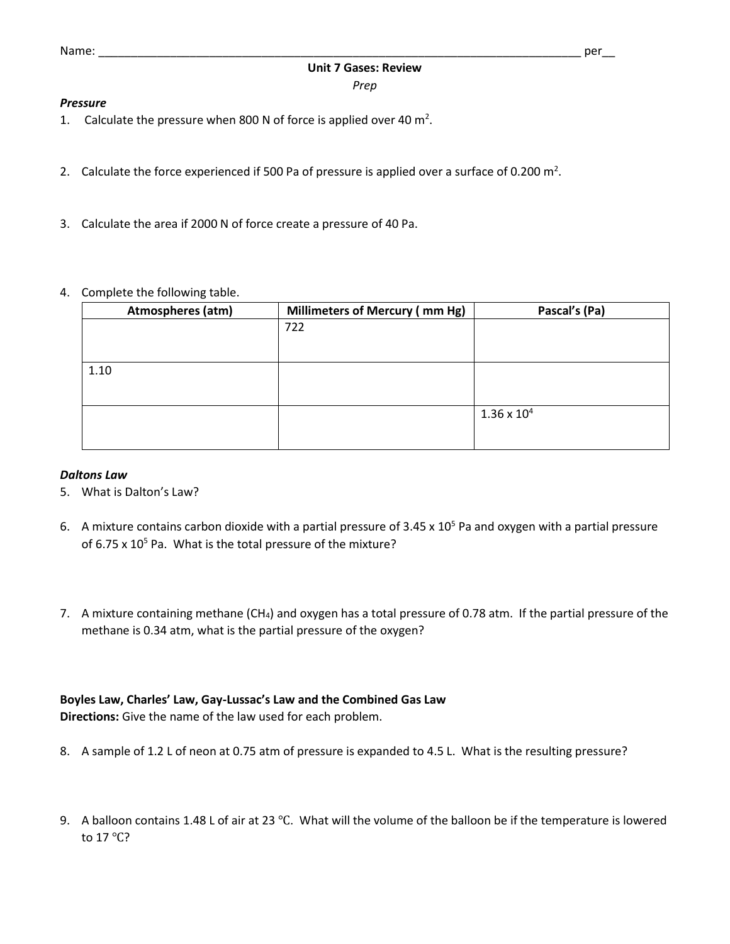#### *Pressure*

- 1. Calculate the pressure when 800 N of force is applied over 40  $m^2$ .
- 2. Calculate the force experienced if 500 Pa of pressure is applied over a surface of 0.200  $m^2$ .
- 3. Calculate the area if 2000 N of force create a pressure of 40 Pa.
- 4. Complete the following table.

| Atmospheres (atm) | Millimeters of Mercury (mm Hg) | Pascal's (Pa)        |
|-------------------|--------------------------------|----------------------|
|                   | 722                            |                      |
|                   |                                |                      |
| 1.10              |                                |                      |
|                   |                                |                      |
|                   |                                | $1.36 \times 10^{4}$ |
|                   |                                |                      |

### *Daltons Law*

- 5. What is Dalton's Law?
- 6. A mixture contains carbon dioxide with a partial pressure of 3.45 x  $10^5$  Pa and oxygen with a partial pressure of  $6.75 \times 10^5$  Pa. What is the total pressure of the mixture?
- 7. A mixture containing methane (CH<sub>4</sub>) and oxygen has a total pressure of 0.78 atm. If the partial pressure of the methane is 0.34 atm, what is the partial pressure of the oxygen?

# **Boyles Law, Charles' Law, Gay-Lussac's Law and the Combined Gas Law**

**Directions:** Give the name of the law used for each problem.

- 8. A sample of 1.2 L of neon at 0.75 atm of pressure is expanded to 4.5 L. What is the resulting pressure?
- 9. A balloon contains 1.48 L of air at 23 °C. What will the volume of the balloon be if the temperature is lowered to 17 ℃?